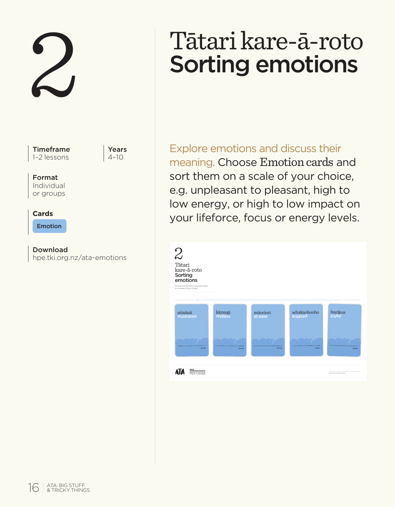2

Timeframe 1–2 lessons

Years  $4 - 10$ 

# Format

Individual or groups

#### **Cards**

Emotion

Download hpe.tki.org.nz/ata-emotions

# Tātari kare-ā-roto Sorting emotions

Explore emotions and discuss their meaning. Choose Emotion cards and sort them on a scale of your choice, e.g. unpleasant to pleasant, high to low energy, or high to low impact on your lifeforce, focus or energy levels.

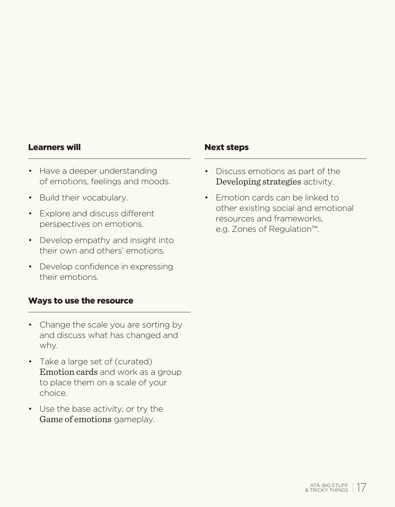#### Learners will not a set of the Next steps

- Have a deeper understanding of emotions, feelings and moods.
- Build their vocabulary.
- Explore and discuss different perspectives on emotions.
- Develop empathy and insight into their own and others' emotions.
- Develop confidence in expressing their emotions.

## Ways to use the resource

- Change the scale you are sorting by and discuss what has changed and why.
- Take a large set of (curated) Emotion cards and work as a group to place them on a scale of your choice.
- Use the base activity, or try the Game of emotions gameplay.

- Discuss emotions as part of the Developing strategies activity.
- Emotion cards can be linked to other existing social and emotional resources and frameworks, e.g. Zones of Regulation™.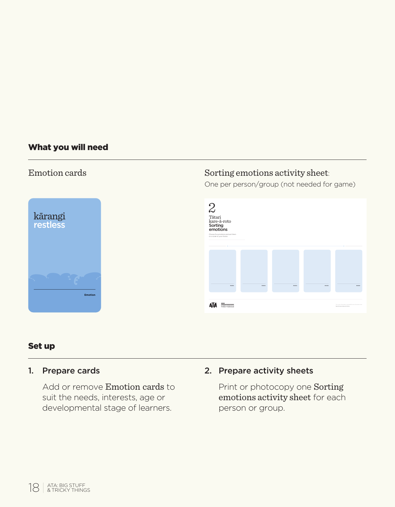#### What you will need



# Emotion cards Sorting emotions activity sheet:

One per person/group (not needed for game)



#### Set up

#### 1. Prepare cards

Add or remove Emotion cards to suit the needs, interests, age or developmental stage of learners.

# 2. Prepare activity sheets

Print or photocopy one Sorting emotions activity sheet for each person or group.